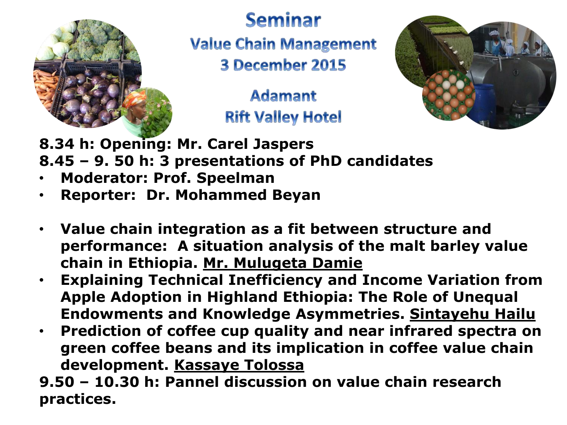

**Seminar** 

**Value Chain Management** 

3 December 2015

**Adamant Rift Valley Hotel** 



## **8.34 h: Opening: Mr. Carel Jaspers 8.45 – 9. 50 h: 3 presentations of PhD candidates**

- **Moderator: Prof. Speelman**
- **Reporter: Dr. Mohammed Beyan**
- **Value chain integration as a fit between structure and performance: A situation analysis of the malt barley value chain in Ethiopia. Mr. Mulugeta Damie**
- **Explaining Technical Inefficiency and Income Variation from Apple Adoption in Highland Ethiopia: The Role of Unequal Endowments and Knowledge Asymmetries. Sintayehu Hailu**
- **Prediction of coffee cup quality and near infrared spectra on green coffee beans and its implication in coffee value chain development. Kassaye Tolossa**

**9.50 – 10.30 h: Pannel discussion on value chain research practices.**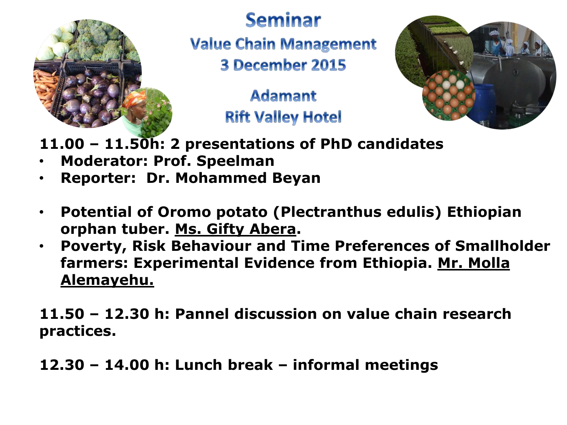

**Seminar** 

**Value Chain Management** 

3 December 2015

**Adamant Rift Valley Hotel** 



- **11.00 – 11.50h: 2 presentations of PhD candidates**
- **Moderator: Prof. Speelman**
- **Reporter: Dr. Mohammed Beyan**
- **Potential of Oromo potato (Plectranthus edulis) Ethiopian orphan tuber. Ms. Gifty Abera.**
- **Poverty, Risk Behaviour and Time Preferences of Smallholder farmers: Experimental Evidence from Ethiopia. Mr. Molla Alemayehu.**

**11.50 – 12.30 h: Pannel discussion on value chain research practices.** 

**12.30 – 14.00 h: Lunch break – informal meetings**